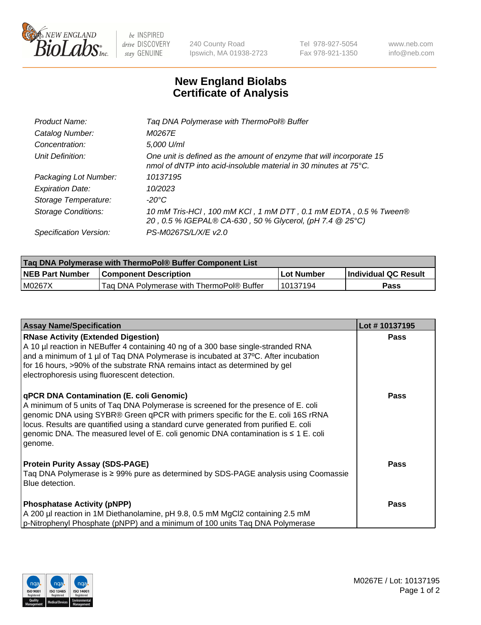

 $be$  INSPIRED drive DISCOVERY stay GENUINE

240 County Road Ipswich, MA 01938-2723 Tel 978-927-5054 Fax 978-921-1350 www.neb.com info@neb.com

## **New England Biolabs Certificate of Analysis**

| Tag DNA Polymerase with ThermoPol® Buffer                                                                                                |
|------------------------------------------------------------------------------------------------------------------------------------------|
| M0267E                                                                                                                                   |
| 5,000 U/ml                                                                                                                               |
| One unit is defined as the amount of enzyme that will incorporate 15<br>nmol of dNTP into acid-insoluble material in 30 minutes at 75°C. |
| 10137195                                                                                                                                 |
| 10/2023                                                                                                                                  |
| $-20^{\circ}$ C                                                                                                                          |
| 10 mM Tris-HCl, 100 mM KCl, 1 mM DTT, 0.1 mM EDTA, 0.5 % Tween®<br>20, 0.5 % IGEPAL® CA-630, 50 % Glycerol, (pH 7.4 @ 25°C)              |
| PS-M0267S/L/X/E v2.0                                                                                                                     |
|                                                                                                                                          |

| <b>Tag DNA Polymerase with ThermoPol® Buffer Component List</b> |                                           |            |                      |  |  |
|-----------------------------------------------------------------|-------------------------------------------|------------|----------------------|--|--|
| <b>NEB Part Number</b>                                          | <b>Component Description</b>              | Lot Number | Individual QC Result |  |  |
| M0267X                                                          | Tag DNA Polymerase with ThermoPol® Buffer | 10137194   | Pass                 |  |  |

| <b>Assay Name/Specification</b>                                                                                                                                                                                                                                                                                                                                                                                           | Lot #10137195 |
|---------------------------------------------------------------------------------------------------------------------------------------------------------------------------------------------------------------------------------------------------------------------------------------------------------------------------------------------------------------------------------------------------------------------------|---------------|
| <b>RNase Activity (Extended Digestion)</b><br>A 10 µl reaction in NEBuffer 4 containing 40 ng of a 300 base single-stranded RNA<br>and a minimum of 1 µl of Taq DNA Polymerase is incubated at 37°C. After incubation<br>for 16 hours, >90% of the substrate RNA remains intact as determined by gel<br>electrophoresis using fluorescent detection.                                                                      | <b>Pass</b>   |
| <b>qPCR DNA Contamination (E. coli Genomic)</b><br>A minimum of 5 units of Taq DNA Polymerase is screened for the presence of E. coli<br>genomic DNA using SYBR® Green qPCR with primers specific for the E. coli 16S rRNA<br>locus. Results are quantified using a standard curve generated from purified E. coli<br>genomic DNA. The measured level of E. coli genomic DNA contamination is $\leq 1$ E. coli<br>genome. | <b>Pass</b>   |
| <b>Protein Purity Assay (SDS-PAGE)</b><br>Taq DNA Polymerase is ≥ 99% pure as determined by SDS-PAGE analysis using Coomassie<br>Blue detection.                                                                                                                                                                                                                                                                          | <b>Pass</b>   |
| <b>Phosphatase Activity (pNPP)</b><br>A 200 µl reaction in 1M Diethanolamine, pH 9.8, 0.5 mM MgCl2 containing 2.5 mM<br>p-Nitrophenyl Phosphate (pNPP) and a minimum of 100 units Taq DNA Polymerase                                                                                                                                                                                                                      | <b>Pass</b>   |